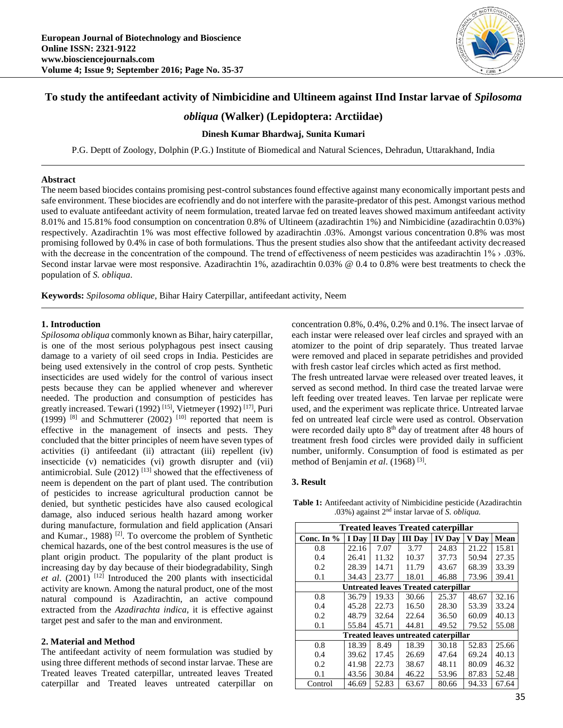

# **To study the antifeedant activity of Nimbicidine and Ultineem against IInd Instar larvae of** *Spilosoma*

# *obliqua* **(Walker) (Lepidoptera: Arctiidae)**

## **Dinesh Kumar Bhardwaj, Sunita Kumari**

P.G. Deptt of Zoology, Dolphin (P.G.) Institute of Biomedical and Natural Sciences, Dehradun, Uttarakhand, India

#### **Abstract**

The neem based biocides contains promising pest-control substances found effective against many economically important pests and safe environment. These biocides are ecofriendly and do not interfere with the parasite-predator of this pest. Amongst various method used to evaluate antifeedant activity of neem formulation, treated larvae fed on treated leaves showed maximum antifeedant activity 8.01% and 15.81% food consumption on concentration 0.8% of Ultineem (azadirachtin 1%) and Nimbicidine (azadirachtin 0.03%) respectively. Azadirachtin 1% was most effective followed by azadirachtin .03%. Amongst various concentration 0.8% was most promising followed by 0.4% in case of both formulations. Thus the present studies also show that the antifeedant activity decreased with the decrease in the concentration of the compound. The trend of effectiveness of neem pesticides was azadirachtin 1% > .03%. Second instar larvae were most responsive. Azadirachtin 1%, azadirachtin 0.03% @ 0.4 to 0.8% were best treatments to check the population of *S. obliqua*.

**Keywords:** *Spilosoma oblique*, Bihar Hairy Caterpillar, antifeedant activity, Neem

#### **1. Introduction**

*Spilosoma obliqua* commonly known as Bihar, hairy caterpillar, is one of the most serious polyphagous pest insect causing damage to a variety of oil seed crops in India. Pesticides are being used extensively in the control of crop pests. Synthetic insecticides are used widely for the control of various insect pests because they can be applied whenever and wherever needed. The production and consumption of pesticides has greatly increased. Tewari (1992)<sup>[15]</sup>, Vietmeyer (1992)<sup>[17]</sup>, Puri  $(1999)$  [8] and Schmutterer (2002) [10] reported that neem is effective in the management of insects and pests. They concluded that the bitter principles of neem have seven types of activities (i) antifeedant (ii) attractant (iii) repellent (iv) insecticide (v) nematicides (vi) growth disrupter and (vii) antimicrobial. Sule  $(2012)$ <sup>[13]</sup> showed that the effectiveness of neem is dependent on the part of plant used. The contribution of pesticides to increase agricultural production cannot be denied, but synthetic pesticides have also caused ecological damage, also induced serious health hazard among worker during manufacture, formulation and field application (Ansari and Kumar., 1988)<sup>[2]</sup>. To overcome the problem of Synthetic chemical hazards, one of the best control measures is the use of plant origin product. The popularity of the plant product is increasing day by day because of their biodegradability, Singh *et al*. (2001) [12] Introduced the 200 plants with insecticidal activity are known. Among the natural product, one of the most natural compound is Azadirachtin, an active compound extracted from the *Azadirachta indica,* it is effective against target pest and safer to the man and environment.

## **2. Material and Method**

The antifeedant activity of neem formulation was studied by using three different methods of second instar larvae. These are Treated leaves Treated caterpillar, untreated leaves Treated caterpillar and Treated leaves untreated caterpillar on concentration 0.8%, 0.4%, 0.2% and 0.1%. The insect larvae of each instar were released over leaf circles and sprayed with an atomizer to the point of drip separately. Thus treated larvae were removed and placed in separate petridishes and provided with fresh castor leaf circles which acted as first method.

The fresh untreated larvae were released over treated leaves, it served as second method. In third case the treated larvae were left feeding over treated leaves. Ten larvae per replicate were used, and the experiment was replicate thrice. Untreated larvae fed on untreated leaf circle were used as control. Observation were recorded daily upto  $8<sup>th</sup>$  day of treatment after 48 hours of treatment fresh food circles were provided daily in sufficient number, uniformly. Consumption of food is estimated as per method of Benjamin *et al*. (1968) [3] .

#### **3. Result**

**Table 1:** Antifeedant activity of Nimbicidine pesticide (Azadirachtin .03%) against 2nd instar larvae of *S. obliqua.*

| <b>Treated leaves Treated caterpillar</b>   |       |        |                |               |       |       |  |  |  |  |
|---------------------------------------------|-------|--------|----------------|---------------|-------|-------|--|--|--|--|
| Conc. In $%$                                | I Day | II Day | <b>III</b> Day | <b>IV Day</b> | V Day | Mean  |  |  |  |  |
| 0.8                                         | 22.16 | 7.07   | 3.77           | 24.83         | 21.22 | 15.81 |  |  |  |  |
| 0.4                                         | 26.41 | 11.32  | 10.37          | 37.73         | 50.94 | 27.35 |  |  |  |  |
| 0.2                                         | 28.39 | 14.71  | 11.79          | 43.67         | 68.39 | 33.39 |  |  |  |  |
| 0.1                                         | 34.43 | 23.77  | 18.01          | 46.88         | 73.96 | 39.41 |  |  |  |  |
| <b>Untreated leaves Treated caterpillar</b> |       |        |                |               |       |       |  |  |  |  |
| 0.8                                         | 36.79 | 19.33  | 30.66          | 25.37         | 48.67 | 32.16 |  |  |  |  |
| 0.4                                         | 45.28 | 22.73  | 16.50          | 28.30         | 53.39 | 33.24 |  |  |  |  |
| 0.2                                         | 48.79 | 32.64  | 22.64          | 36.50         | 60.09 | 40.13 |  |  |  |  |
| 0.1                                         | 55.84 | 45.71  | 44.81          | 49.52         | 79.52 | 55.08 |  |  |  |  |
| <b>Treated leaves untreated caterpillar</b> |       |        |                |               |       |       |  |  |  |  |
| 0.8                                         | 18.39 | 8.49   | 18.39          | 30.18         | 52.83 | 25.66 |  |  |  |  |
| 0.4                                         | 39.62 | 17.45  | 26.69          | 47.64         | 69.24 | 40.13 |  |  |  |  |
| 0.2                                         | 41.98 | 22.73  | 38.67          | 48.11         | 80.09 | 46.32 |  |  |  |  |
| 0.1                                         | 43.56 | 30.84  | 46.22          | 53.96         | 87.83 | 52.48 |  |  |  |  |
| Control                                     | 46.69 | 52.83  | 63.67          | 80.66         | 94.33 | 67.64 |  |  |  |  |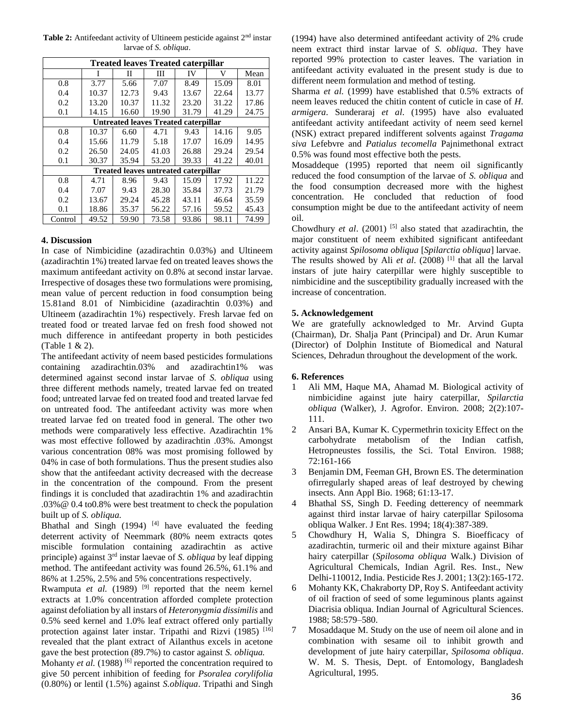Table 2: Antifeedant activity of Ultineem pesticide against 2<sup>nd</sup> instar larvae of *S. obliqua*.

| <b>Treated leaves Treated caterpillar</b>   |       |       |       |       |       |       |  |  |  |
|---------------------------------------------|-------|-------|-------|-------|-------|-------|--|--|--|
|                                             |       | П     | Ш     | IV    | V     | Mean  |  |  |  |
| 0.8                                         | 3.77  | 5.66  | 7.07  | 8.49  | 15.09 | 8.01  |  |  |  |
| 0.4                                         | 10.37 | 12.73 | 9.43  | 13.67 | 22.64 | 13.77 |  |  |  |
| 0.2                                         | 13.20 | 10.37 | 11.32 | 23.20 | 31.22 | 17.86 |  |  |  |
| 0.1                                         | 14.15 | 16.60 | 19.90 | 31.79 | 41.29 | 24.75 |  |  |  |
| <b>Untreated leaves Treated caterpillar</b> |       |       |       |       |       |       |  |  |  |
| 0.8                                         | 10.37 | 6.60  | 4.71  | 9.43  | 14.16 | 9.05  |  |  |  |
| 0.4                                         | 15.66 | 11.79 | 5.18  | 17.07 | 16.09 | 14.95 |  |  |  |
| 0.2                                         | 26.50 | 24.05 | 41.03 | 26.88 | 29.24 | 29.54 |  |  |  |
| 0.1                                         | 30.37 | 35.94 | 53.20 | 39.33 | 41.22 | 40.01 |  |  |  |
| <b>Treated leaves untreated caterpillar</b> |       |       |       |       |       |       |  |  |  |
| 0.8                                         | 4.71  | 8.96  | 9.43  | 15.09 | 17.92 | 11.22 |  |  |  |
| 0.4                                         | 7.07  | 9.43  | 28.30 | 35.84 | 37.73 | 21.79 |  |  |  |
| 0.2                                         | 13.67 | 29.24 | 45.28 | 43.11 | 46.64 | 35.59 |  |  |  |
| 0.1                                         | 18.86 | 35.37 | 56.22 | 57.16 | 59.52 | 45.43 |  |  |  |
| Control                                     | 49.52 | 59.90 | 73.58 | 93.86 | 98.11 | 74.99 |  |  |  |

## **4. Discussion**

In case of Nimbicidine (azadirachtin 0.03%) and Ultineem (azadirachtin 1%) treated larvae fed on treated leaves shows the maximum antifeedant activity on 0.8% at second instar larvae. Irrespective of dosages these two formulations were promising, mean value of percent reduction in food consumption being 15.81and 8.01 of Nimbicidine (azadirachtin 0.03%) and Ultineem (azadirachtin 1%) respectively. Fresh larvae fed on treated food or treated larvae fed on fresh food showed not much difference in antifeedant property in both pesticides (Table 1 & 2).

The antifeedant activity of neem based pesticides formulations containing azadirachtin.03% and azadirachtin1% was determined against second instar larvae of *S. obliqua* using three different methods namely, treated larvae fed on treated food; untreated larvae fed on treated food and treated larvae fed on untreated food. The antifeedant activity was more when treated larvae fed on treated food in general. The other two methods were comparatively less effective. Azadirachtin 1% was most effective followed by azadirachtin .03%. Amongst various concentration 08% was most promising followed by 04% in case of both formulations. Thus the present studies also show that the antifeedant activity decreased with the decrease in the concentration of the compound. From the present findings it is concluded that azadirachtin 1% and azadirachtin .03%@ 0.4 to0.8% were best treatment to check the population built up of *S. obliqua.*

Bhathal and Singh  $(1994)$ <sup>[4]</sup> have evaluated the feeding deterrent activity of Neemmark (80% neem extracts qotes miscible formulation containing azadirachtin as active principle) against 3rd instar laevae of *S. obliqua* by leaf dipping method. The antifeedant activity was found 26.5%, 61.1% and 86% at 1.25%, 2.5% and 5% concentrations respectively.

Rwamputa *et al.* (1989)<sup>[9]</sup> reported that the neem kernel extracts at 1.0% concentration afforded complete protection against defoliation by all instars of *Heteronygmia dissimilis* and 0.5% seed kernel and 1.0% leaf extract offered only partially protection against later instar. Tripathi and Rizvi (1985) [16] revealed that the plant extract of Ailanthus excels in acetone gave the best protection (89.7%) to castor against *S. obliqua.*

Mohanty *et al.* (1988)<sup>[6]</sup> reported the concentration required to give 50 percent inhibition of feeding for *Psoralea corylifolia* (0.80%) or lentil (1.5%) against *S.obliqua*. Tripathi and Singh

(1994) have also determined antifeedant activity of 2% crude neem extract third instar larvae of *S. obliqua*. They have reported 99% protection to caster leaves. The variation in antifeedant activity evaluated in the present study is due to different neem formulation and method of testing.

Sharma *et al.* (1999) have established that 0.5% extracts of neem leaves reduced the chitin content of cuticle in case of *H. armigera*. Sunderaraj *et al*. (1995) have also evaluated antifeedant activity antifeedant activity of neem seed kernel (NSK) extract prepared indifferent solvents against *Tragama siva* Lefebvre and *Patialus tecomella* Pajnimethonal extract 0.5% was found most effective both the pests.

Mosaddeque (1995) reported that neem oil significantly reduced the food consumption of the larvae of *S. obliqua* and the food consumption decreased more with the highest concentration. He concluded that reduction of food consumption might be due to the antifeedant activity of neem oil.

Chowdhury *et al.* (2001)<sup>[5]</sup> also stated that azadirachtin, the major constituent of neem exhibited significant antifeedant activity against *Spilosoma obliqua* [*Spilarctia obliqua*] larvae.

The results showed by Ali *et al*. (2008) [1] that all the larval instars of jute hairy caterpillar were highly susceptible to nimbicidine and the susceptibility gradually increased with the increase of concentration.

## **5. Acknowledgement**

We are gratefully acknowledged to Mr. Arvind Gupta (Chairman), Dr. Shalja Pant (Principal) and Dr. Arun Kumar (Director) of Dolphin Institute of Biomedical and Natural Sciences, Dehradun throughout the development of the work.

#### **6. References**

- 1 Ali MM, Haque MA, Ahamad M. Biological activity of nimbicidine against jute hairy caterpillar, *Spilarctia obliqua* (Walker), J. Agrofor. Environ. 2008; 2(2):107- 111.
- 2 Ansari BA, Kumar K. Cypermethrin toxicity Effect on the carbohydrate metabolism of the Indian catfish, Hetropneustes fossilis, the Sci. Total Environ. 1988; 72:161-166
- 3 Benjamin DM, Feeman GH, Brown ES. The determination ofirregularly shaped areas of leaf destroyed by chewing insects. Ann Appl Bio. 1968; 61:13-17.
- 4 Bhathal SS, Singh D. Feeding detterency of neemmark against third instar larvae of hairy caterpillar Spilosoma obliqua Walker. J Ent Res. 1994; 18(4):387-389.
- 5 Chowdhury H, Walia S, Dhingra S. Bioefficacy of azadirachtin, turmeric oil and their mixture against Bihar hairy caterpillar (*Spilosoma obliqua* Walk.) Division of Agricultural Chemicals, Indian Agril. Res. Inst., New Delhi-110012, India. Pesticide Res J. 2001; 13(2):165-172.
- 6 Mohanty KK, Chakraborty DP, Roy S. Antifeedant activity of oil fraction of seed of some leguminous plants against Diacrisia obliqua. Indian Journal of Agricultural Sciences. 1988; 58:579–580.
- 7 Mosaddaque M. Study on the use of neem oil alone and in combination with sesame oil to inhibit growth and development of jute hairy caterpillar, *Spilosoma obliqua*. W. M. S. Thesis, Dept. of Entomology, Bangladesh Agricultural, 1995.